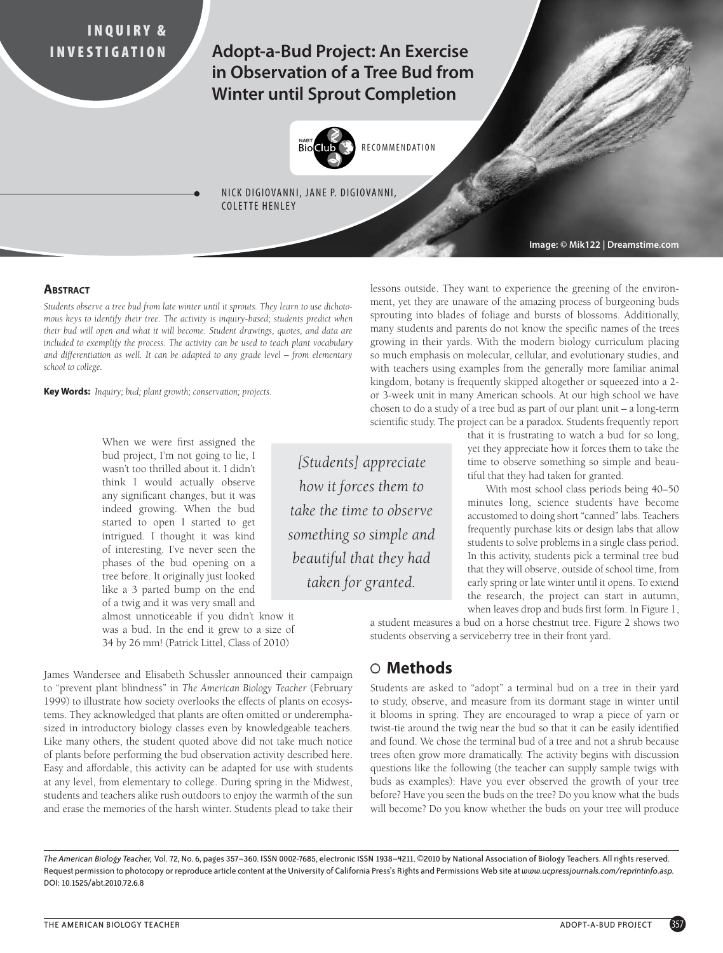# **INQUIRY &**

**INVESTIGATION Adopt-a-Bud Project: An Exercise in Observation of a Tree Bud from Winter until Sprout Completion**



NICK DIGIOVANNI, JANE P. DIGIOVANNI, COLETTE HENLEY

**Image: © Mik122 | Dreamstime.com**

#### **ABSTRACT**

*Students observe a tree bud from late winter until it sprouts. They learn to use dichotomous keys to identify their tree. The activity is inquiry-based; students predict when their bud will open and what it will become. Student drawings, quotes, and data are included to exemplify the process. The activity can be used to teach plant vocabulary and differentiation as well. It can be adapted to any grade level – from elementary school to college.*

**Key Words:** *Inquiry; bud; plant growth; conservation; projects.*

When we were first assigned the bud project, I'm not going to lie, I wasn't too thrilled about it. I didn't think I would actually observe any significant changes, but it was indeed growing. When the bud started to open I started to get intrigued. I thought it was kind of interesting. I've never seen the phases of the bud opening on a tree before. It originally just looked like a 3 parted bump on the end of a twig and it was very small and

almost unnoticeable if you didn't know it was a bud. In the end it grew to a size of 34 by 26 mm! (Patrick Littel, Class of 2010)

James Wandersee and Elisabeth Schussler announced their campaign to "prevent plant blindness" in *The American Biology Teacher* (February 1999) to illustrate how society overlooks the effects of plants on ecosystems. They acknowledged that plants are often omitted or underemphasized in introductory biology classes even by knowledgeable teachers. Like many others, the student quoted above did not take much notice of plants before performing the bud observation activity described here. Easy and affordable, this activity can be adapted for use with students at any level, from elementary to college. During spring in the Midwest, students and teachers alike rush outdoors to enjoy the warmth of the sun and erase the memories of the harsh winter. Students plead to take their

*[Students] appreciate how it forces them to take the time to observe something so simple and beautiful that they had taken for granted.*

lessons outside. They want to experience the greening of the environment, yet they are unaware of the amazing process of burgeoning buds sprouting into blades of foliage and bursts of blossoms. Additionally, many students and parents do not know the specific names of the trees growing in their yards. With the modern biology curriculum placing so much emphasis on molecular, cellular, and evolutionary studies, and with teachers using examples from the generally more familiar animal kingdom, botany is frequently skipped altogether or squeezed into a 2 or 3-week unit in many American schools. At our high school we have chosen to do a study of a tree bud as part of our plant unit – a long-term scientific study. The project can be a paradox. Students frequently report

> that it is frustrating to watch a bud for so long, yet they appreciate how it forces them to take the time to observe something so simple and beautiful that they had taken for granted.

> With most school class periods being 40–50 minutes long, science students have become accustomed to doing short "canned" labs. Teachers frequently purchase kits or design labs that allow students to solve problems in a single class period. In this activity, students pick a terminal tree bud that they will observe, outside of school time, from early spring or late winter until it opens. To extend the research, the project can start in autumn, when leaves drop and buds first form. In Figure 1,

a student measures a bud on a horse chestnut tree. Figure 2 shows two students observing a serviceberry tree in their front yard.

#### J **Methods**

Students are asked to "adopt" a terminal bud on a tree in their yard to study, observe, and measure from its dormant stage in winter until it blooms in spring. They are encouraged to wrap a piece of yarn or twist-tie around the twig near the bud so that it can be easily identified and found. We chose the terminal bud of a tree and not a shrub because trees often grow more dramatically. The activity begins with discussion questions like the following (the teacher can supply sample twigs with buds as examples): Have you ever observed the growth of your tree before? Have you seen the buds on the tree? Do you know what the buds will become? Do you know whether the buds on your tree will produce

*The American Biology Teacher,* Vol. 72, No. 6, pages 357–360. ISSN 0002-7685, electronic ISSN 1938–4211. ©2010 by National Association of Biology Teachers. All rights reserved. Request permission to photocopy or reproduce article content at the University of California Press's Rights and Permissions Web site at *www.ucpressjournals.com/reprintinfo.asp.* DOI: 10.1525/abt.2010.72.6.8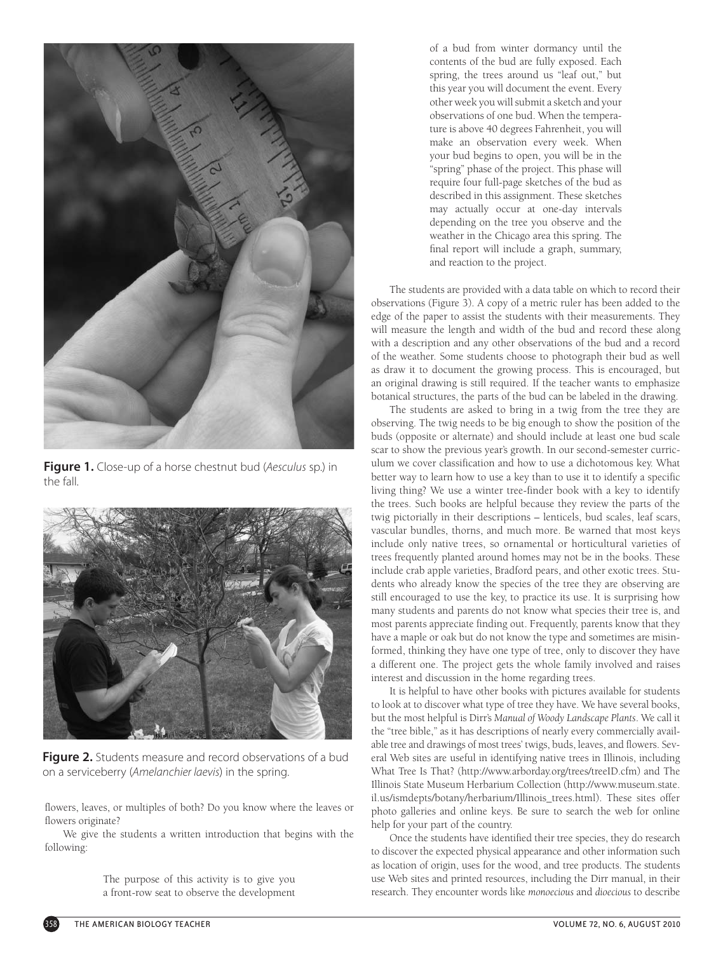

**Figure 1.** Close-up of a horse chestnut bud (Aesculus sp.) in the fall.



**Figure 2.** Students measure and record observations of a bud on a serviceberry (Amelanchier laevis) in the spring.

flowers, leaves, or multiples of both? Do you know where the leaves or flowers originate?

We give the students a written introduction that begins with the following:

> The purpose of this activity is to give you a front-row seat to observe the development

of a bud from winter dormancy until the contents of the bud are fully exposed. Each spring, the trees around us "leaf out," but this year you will document the event. Every other week you will submit a sketch and your observations of one bud. When the temperature is above 40 degrees Fahrenheit, you will make an observation every week. When your bud begins to open, you will be in the "spring" phase of the project. This phase will require four full-page sketches of the bud as described in this assignment. These sketches may actually occur at one-day intervals depending on the tree you observe and the weather in the Chicago area this spring. The final report will include a graph, summary, and reaction to the project.

The students are provided with a data table on which to record their observations (Figure 3). A copy of a metric ruler has been added to the edge of the paper to assist the students with their measurements. They will measure the length and width of the bud and record these along with a description and any other observations of the bud and a record of the weather. Some students choose to photograph their bud as well as draw it to document the growing process. This is encouraged, but an original drawing is still required. If the teacher wants to emphasize botanical structures, the parts of the bud can be labeled in the drawing.

The students are asked to bring in a twig from the tree they are observing. The twig needs to be big enough to show the position of the buds (opposite or alternate) and should include at least one bud scale scar to show the previous year's growth. In our second-semester curriculum we cover classification and how to use a dichotomous key. What better way to learn how to use a key than to use it to identify a specific living thing? We use a winter tree-finder book with a key to identify the trees. Such books are helpful because they review the parts of the twig pictorially in their descriptions – lenticels, bud scales, leaf scars, vascular bundles, thorns, and much more. Be warned that most keys include only native trees, so ornamental or horticultural varieties of trees frequently planted around homes may not be in the books. These include crab apple varieties, Bradford pears, and other exotic trees. Students who already know the species of the tree they are observing are still encouraged to use the key, to practice its use. It is surprising how many students and parents do not know what species their tree is, and most parents appreciate finding out. Frequently, parents know that they have a maple or oak but do not know the type and sometimes are misinformed, thinking they have one type of tree, only to discover they have a different one. The project gets the whole family involved and raises interest and discussion in the home regarding trees.

It is helpful to have other books with pictures available for students to look at to discover what type of tree they have. We have several books, but the most helpful is Dirr's *Manual of Woody Landscape Plants*. We call it the "tree bible," as it has descriptions of nearly every commercially available tree and drawings of most trees' twigs, buds, leaves, and flowers. Several Web sites are useful in identifying native trees in Illinois, including What Tree Is That? (http://www.arborday.org/trees/treeID.cfm) and The Illinois State Museum Herbarium Collection (http://www.museum.state. il.us/ismdepts/botany/herbarium/Illinois\_trees.html). These sites offer photo galleries and online keys. Be sure to search the web for online help for your part of the country.

Once the students have identified their tree species, they do research to discover the expected physical appearance and other information such as location of origin, uses for the wood, and tree products. The students use Web sites and printed resources, including the Dirr manual, in their research. They encounter words like *monoecious* and *dioecious* to describe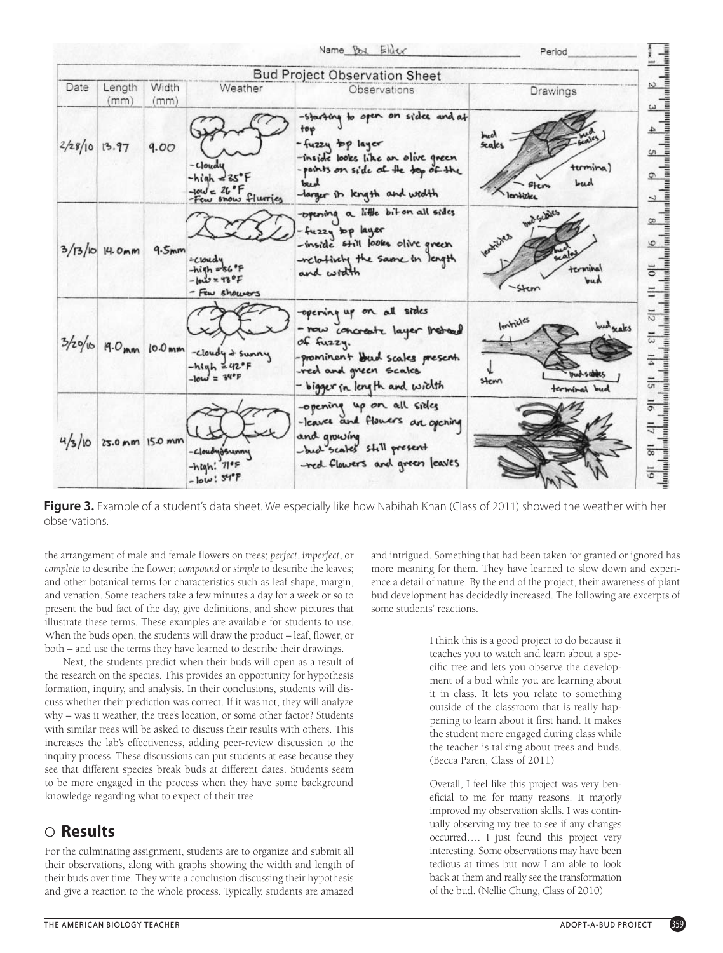

**Figure 3.** Example of a student's data sheet. We especially like how Nabihah Khan (Class of 2011) showed the weather with her observations.

the arrangement of male and female flowers on trees; *perfect*, *imperfect*, or *complete* to describe the flower; *compound* or *simple* to describe the leaves; and other botanical terms for characteristics such as leaf shape, margin, and venation. Some teachers take a few minutes a day for a week or so to present the bud fact of the day, give definitions, and show pictures that illustrate these terms. These examples are available for students to use. When the buds open, the students will draw the product – leaf, flower, or both – and use the terms they have learned to describe their drawings.

Next, the students predict when their buds will open as a result of the research on the species. This provides an opportunity for hypothesis formation, inquiry, and analysis. In their conclusions, students will discuss whether their prediction was correct. If it was not, they will analyze why – was it weather, the tree's location, or some other factor? Students with similar trees will be asked to discuss their results with others. This increases the lab's effectiveness, adding peer-review discussion to the inquiry process. These discussions can put students at ease because they see that different species break buds at different dates. Students seem to be more engaged in the process when they have some background knowledge regarding what to expect of their tree.

### J **Results**

For the culminating assignment, students are to organize and submit all their observations, along with graphs showing the width and length of their buds over time. They write a conclusion discussing their hypothesis and give a reaction to the whole process. Typically, students are amazed and intrigued. Something that had been taken for granted or ignored has more meaning for them. They have learned to slow down and experience a detail of nature. By the end of the project, their awareness of plant bud development has decidedly increased. The following are excerpts of some students' reactions.

> I think this is a good project to do because it teaches you to watch and learn about a specific tree and lets you observe the development of a bud while you are learning about it in class. It lets you relate to something outside of the classroom that is really happening to learn about it first hand. It makes the student more engaged during class while the teacher is talking about trees and buds. (Becca Paren, Class of 2011)

> Overall, I feel like this project was very beneficial to me for many reasons. It majorly improved my observation skills. I was continually observing my tree to see if any changes occurred…. I just found this project very interesting. Some observations may have been tedious at times but now I am able to look back at them and really see the transformation of the bud. (Nellie Chung, Class of 2010)